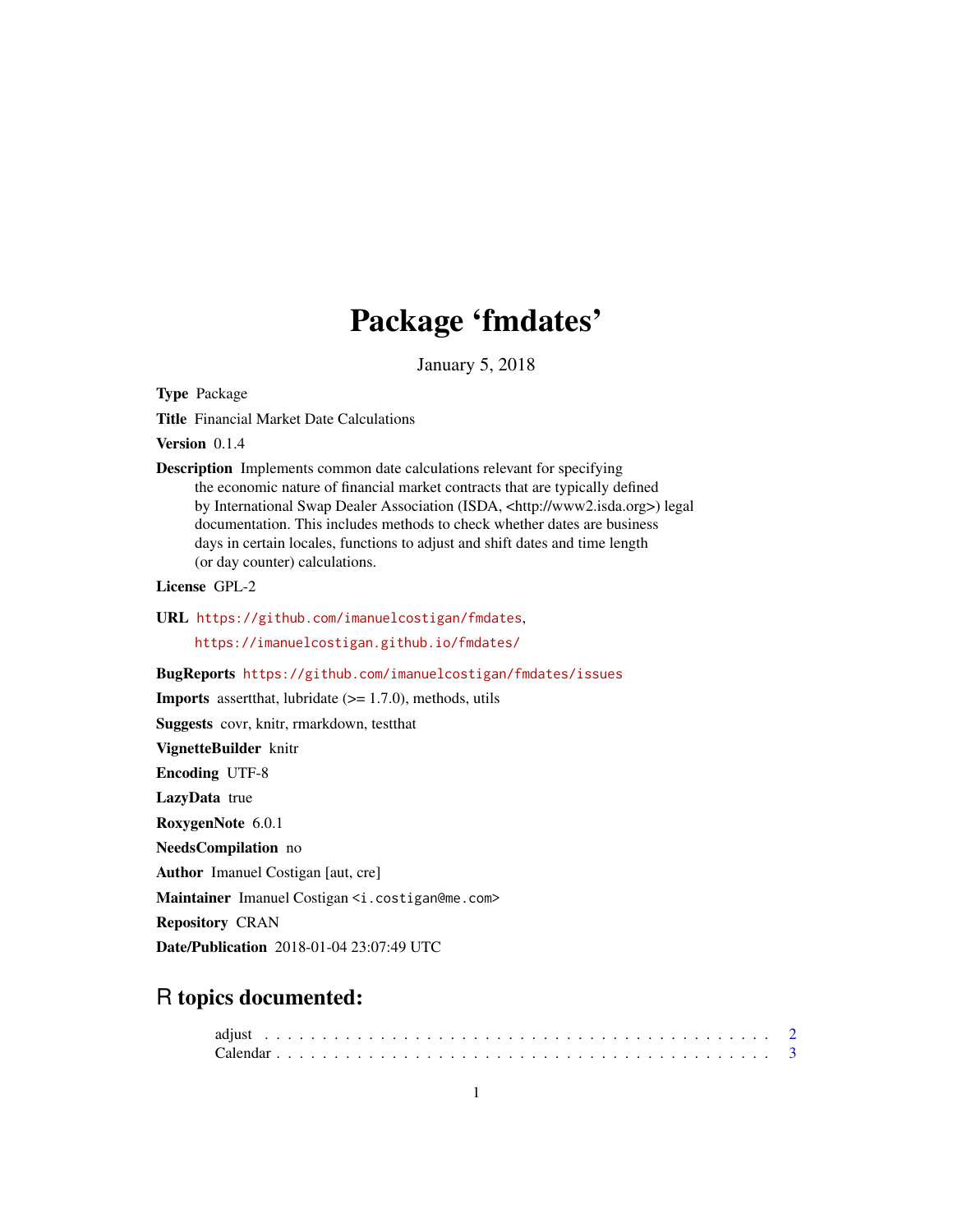# Package 'fmdates'

January 5, 2018

<span id="page-0-0"></span>Type Package

Title Financial Market Date Calculations

Version 0.1.4

Description Implements common date calculations relevant for specifying the economic nature of financial market contracts that are typically defined by International Swap Dealer Association (ISDA, <http://www2.isda.org>) legal documentation. This includes methods to check whether dates are business days in certain locales, functions to adjust and shift dates and time length (or day counter) calculations.

License GPL-2

URL <https://github.com/imanuelcostigan/fmdates>, <https://imanuelcostigan.github.io/fmdates/>

#### BugReports <https://github.com/imanuelcostigan/fmdates/issues>

**Imports** assert that, lubridate  $(>= 1.7.0)$ , methods, utils

Suggests covr, knitr, rmarkdown, testthat

VignetteBuilder knitr

Encoding UTF-8

LazyData true

RoxygenNote 6.0.1

NeedsCompilation no

Author Imanuel Costigan [aut, cre]

Maintainer Imanuel Costigan <i.costigan@me.com>

Repository CRAN

Date/Publication 2018-01-04 23:07:49 UTC

# R topics documented: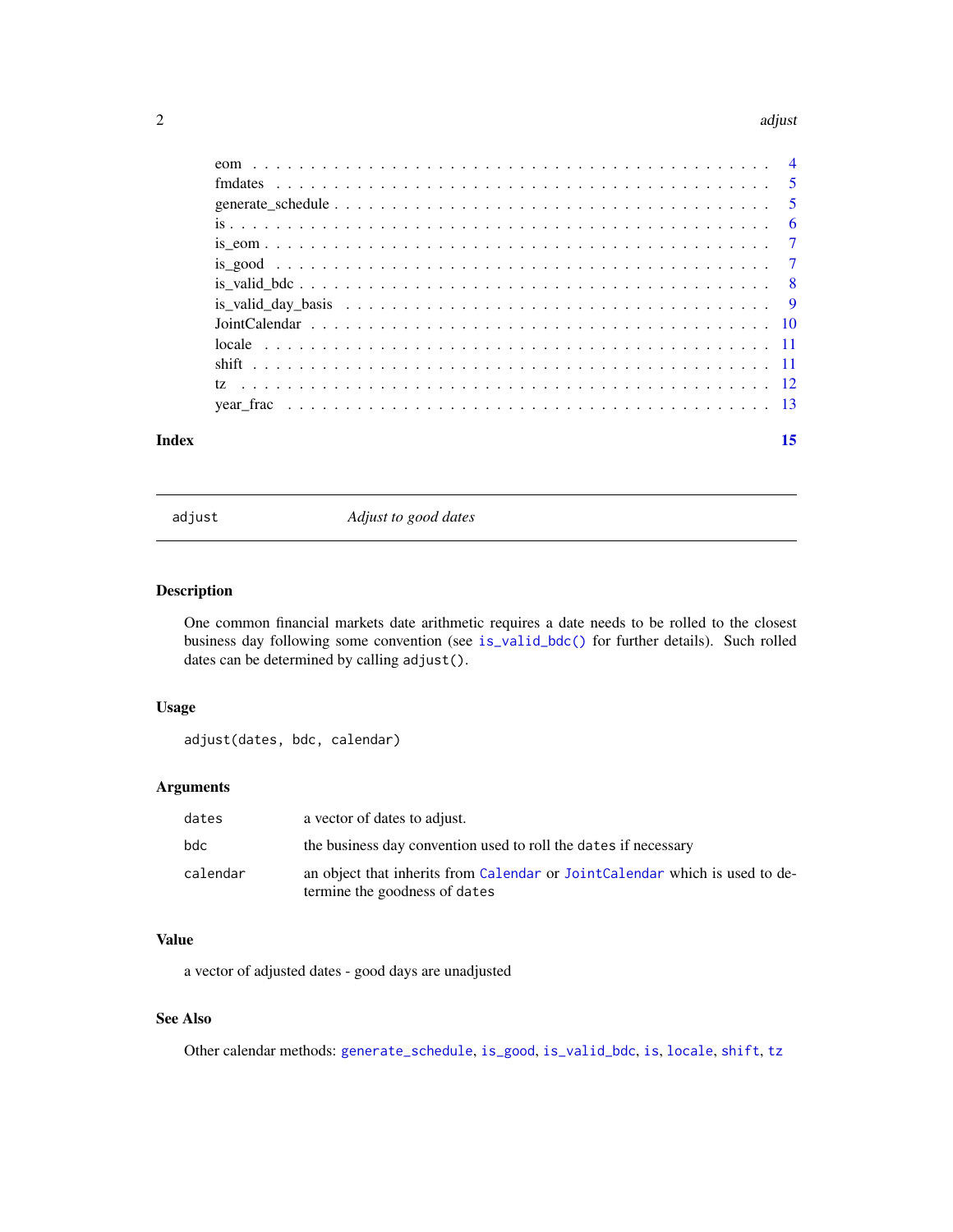#### <span id="page-1-0"></span> $2 \,$  adjust

| Index | 15 |
|-------|----|

<span id="page-1-1"></span>

adjust *Adjust to good dates*

# Description

One common financial markets date arithmetic requires a date needs to be rolled to the closest business day following some convention (see [is\\_valid\\_bdc\(\)](#page-7-1) for further details). Such rolled dates can be determined by calling adjust().

# Usage

```
adjust(dates, bdc, calendar)
```
# Arguments

| dates    | a vector of dates to adjust.                                                                                 |
|----------|--------------------------------------------------------------------------------------------------------------|
| bdc.     | the business day convention used to roll the dates if necessary                                              |
| calendar | an object that inherits from Calendar or JointCalendar which is used to de-<br>termine the goodness of dates |

# Value

a vector of adjusted dates - good days are unadjusted

# See Also

Other calendar methods: [generate\\_schedule](#page-4-1), [is\\_good](#page-6-1), [is\\_valid\\_bdc](#page-7-1), [is](#page-5-1), [locale](#page-10-1), [shift](#page-10-2), [tz](#page-11-1)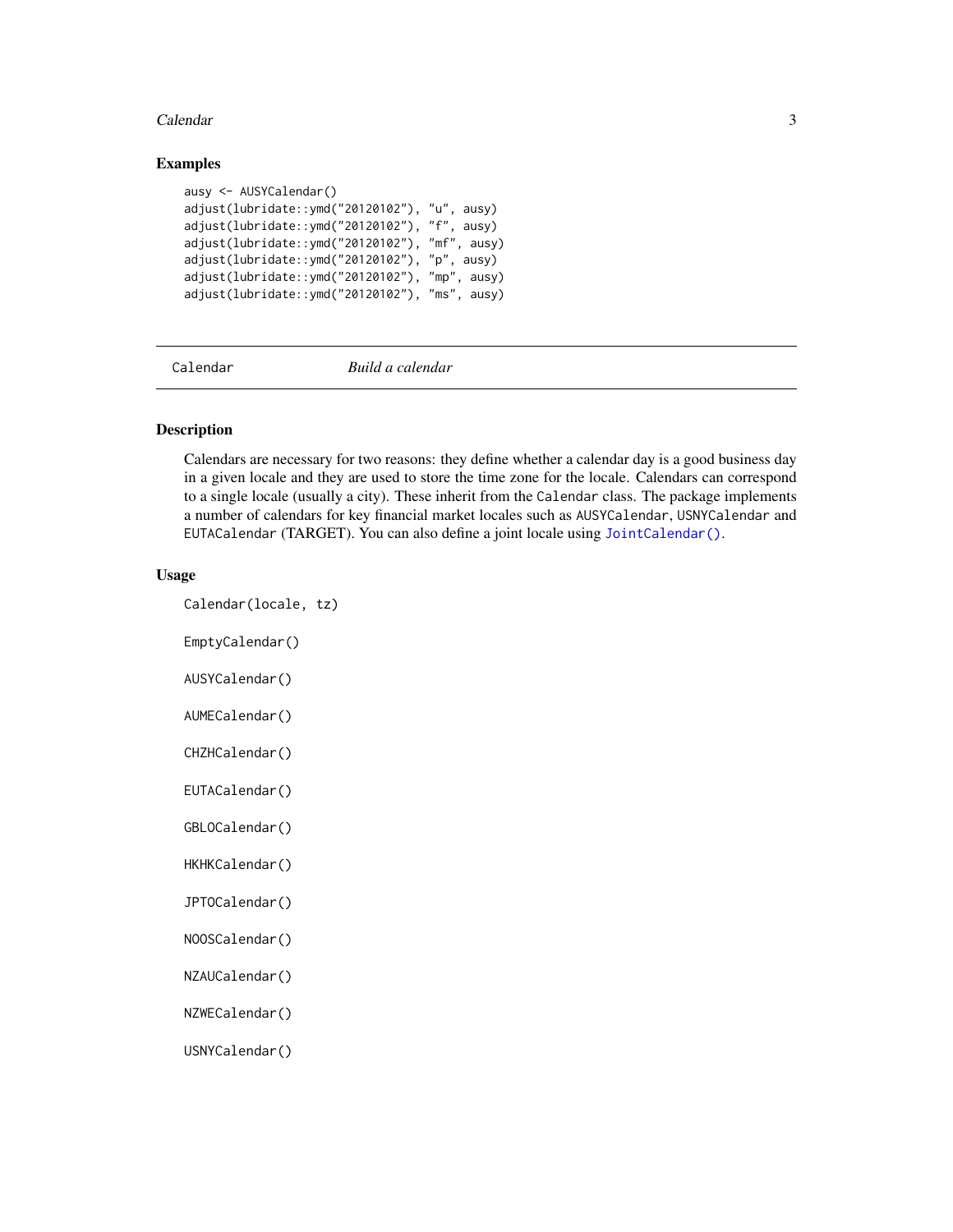#### <span id="page-2-0"></span>Calendar 3

#### Examples

```
ausy <- AUSYCalendar()
adjust(lubridate::ymd("20120102"), "u", ausy)
adjust(lubridate::ymd("20120102"), "f", ausy)
adjust(lubridate::ymd("20120102"), "mf", ausy)
adjust(lubridate::ymd("20120102"), "p", ausy)
adjust(lubridate::ymd("20120102"), "mp", ausy)
adjust(lubridate::ymd("20120102"), "ms", ausy)
```
<span id="page-2-1"></span>Calendar *Build a calendar*

#### Description

Calendars are necessary for two reasons: they define whether a calendar day is a good business day in a given locale and they are used to store the time zone for the locale. Calendars can correspond to a single locale (usually a city). These inherit from the Calendar class. The package implements a number of calendars for key financial market locales such as AUSYCalendar, USNYCalendar and EUTACalendar (TARGET). You can also define a joint locale using [JointCalendar\(\)](#page-9-1).

#### Usage

Calendar(locale, tz)

EmptyCalendar()

AUSYCalendar()

AUMECalendar()

CHZHCalendar()

EUTACalendar()

GBLOCalendar()

HKHKCalendar()

JPTOCalendar()

NOOSCalendar()

NZAUCalendar()

NZWECalendar()

USNYCalendar()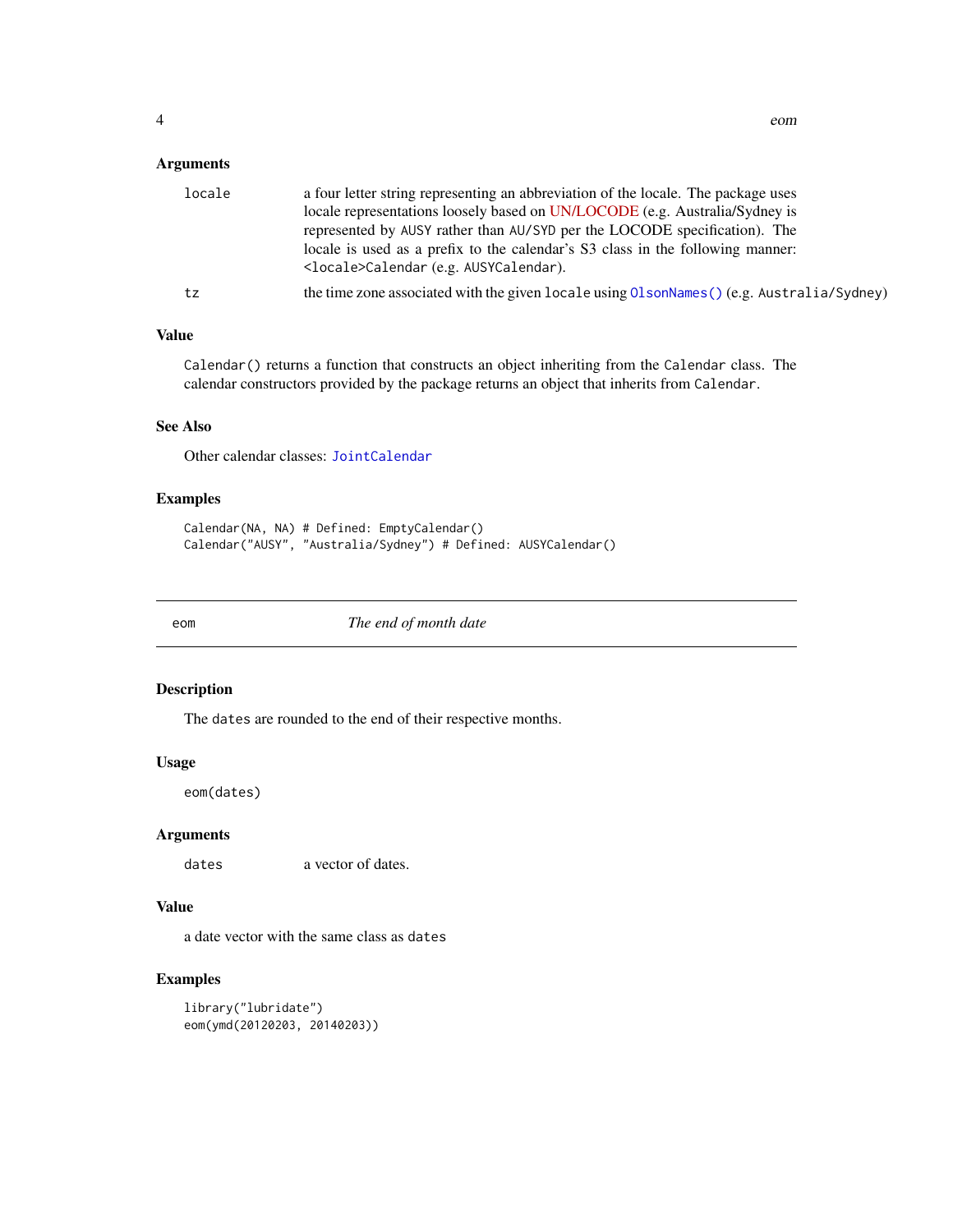# <span id="page-3-0"></span>Arguments

| locale | a four letter string representing an abbreviation of the locale. The package uses<br>locale representations loosely based on UN/LOCODE (e.g. Australia/Sydney is |
|--------|------------------------------------------------------------------------------------------------------------------------------------------------------------------|
|        | represented by AUSY rather than AU/SYD per the LOCODE specification). The                                                                                        |
|        | locale is used as a prefix to the calendar's S3 class in the following manner:<br><locale>Calendar (e.g. AUSYCalendar).</locale>                                 |
| tz     | the time zone associated with the given locale using $OIsonNames()$ (e.g. Australia/Sydney)                                                                      |

# Value

Calendar() returns a function that constructs an object inheriting from the Calendar class. The calendar constructors provided by the package returns an object that inherits from Calendar.

# See Also

Other calendar classes: [JointCalendar](#page-9-1)

# Examples

```
Calendar(NA, NA) # Defined: EmptyCalendar()
Calendar("AUSY", "Australia/Sydney") # Defined: AUSYCalendar()
```
eom *The end of month date*

#### Description

The dates are rounded to the end of their respective months.

# Usage

eom(dates)

# Arguments

dates a vector of dates.

# Value

a date vector with the same class as dates

# Examples

library("lubridate") eom(ymd(20120203, 20140203))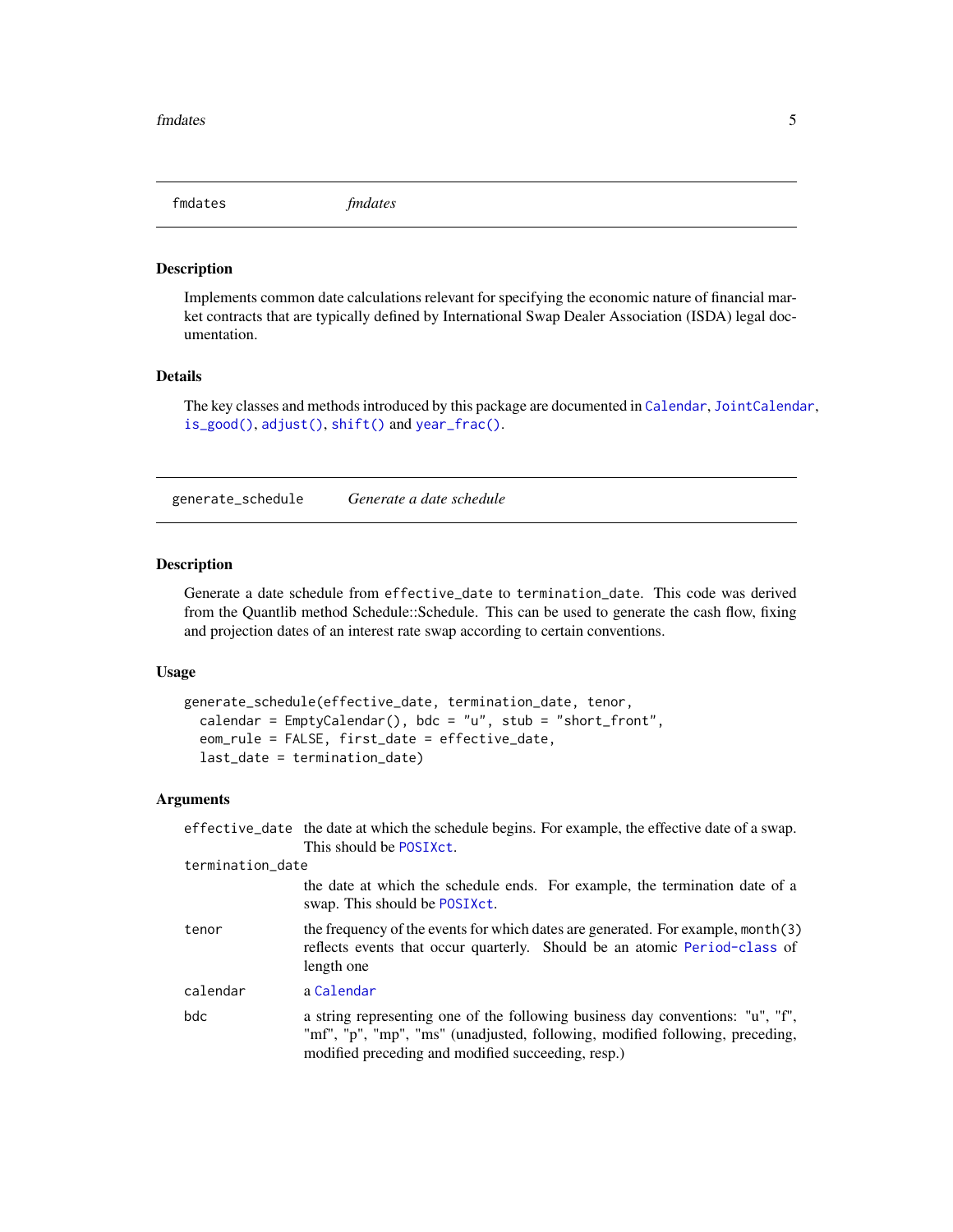<span id="page-4-0"></span>fmdates *fmdates*

#### Description

Implements common date calculations relevant for specifying the economic nature of financial market contracts that are typically defined by International Swap Dealer Association (ISDA) legal documentation.

# Details

The key classes and methods introduced by this package are documented in [Calendar](#page-2-1), [JointCalendar](#page-9-1), [is\\_good\(\)](#page-6-1), [adjust\(\)](#page-1-1), [shift\(\)](#page-10-2) and [year\\_frac\(\)](#page-12-1).

<span id="page-4-1"></span>generate\_schedule *Generate a date schedule*

# Description

Generate a date schedule from effective\_date to termination\_date. This code was derived from the Quantlib method Schedule::Schedule. This can be used to generate the cash flow, fixing and projection dates of an interest rate swap according to certain conventions.

#### Usage

```
generate_schedule(effective_date, termination_date, tenor,
  calendar = EmptyCalendar(), bdc = "u", stub = "short_front",
  eom_rule = FALSE, first_date = effective_date,
  last_date = termination_date)
```
# Arguments

|                  | effective_date the date at which the schedule begins. For example, the effective date of a swap.<br>This should be POSIXCt.                                                                                          |
|------------------|----------------------------------------------------------------------------------------------------------------------------------------------------------------------------------------------------------------------|
| termination_date |                                                                                                                                                                                                                      |
|                  | the date at which the schedule ends. For example, the termination date of a<br>swap. This should be POSIXct.                                                                                                         |
| tenor            | the frequency of the events for which dates are generated. For example, month(3)<br>reflects events that occur quarterly. Should be an atomic Period-class of<br>length one                                          |
| calendar         | a Calendar                                                                                                                                                                                                           |
| bdc              | a string representing one of the following business day conventions: "u", "f",<br>"mf", "p", "mp", "ms" (unadjusted, following, modified following, preceding,<br>modified preceding and modified succeeding, resp.) |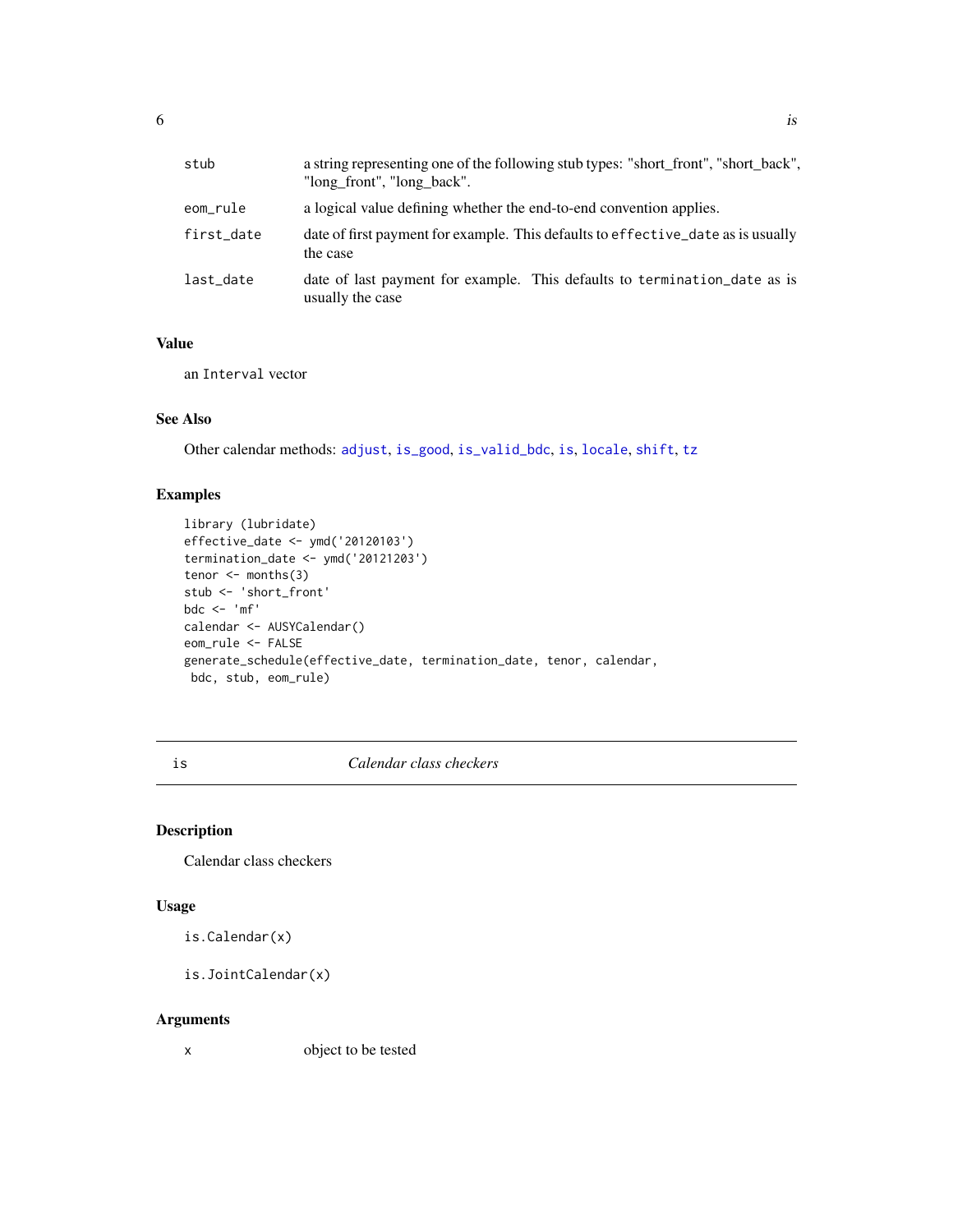<span id="page-5-0"></span>

| stub       | a string representing one of the following stub types: "short_front", "short_back",<br>"long front", "long back". |
|------------|-------------------------------------------------------------------------------------------------------------------|
| eom_rule   | a logical value defining whether the end-to-end convention applies.                                               |
| first_date | date of first payment for example. This defaults to effective_date as is usually<br>the case                      |
| last date  | date of last payment for example. This defaults to termination_date as is<br>usually the case                     |

# Value

an Interval vector

# See Also

Other calendar methods: [adjust](#page-1-1), [is\\_good](#page-6-1), [is\\_valid\\_bdc](#page-7-1), [is](#page-5-1), [locale](#page-10-1), [shift](#page-10-2), [tz](#page-11-1)

# Examples

```
library (lubridate)
effective_date <- ymd('20120103')
termination_date <- ymd('20121203')
tenor \leq months(3)
stub <- 'short_front'
bdc <- 'mf'
calendar <- AUSYCalendar()
eom_rule <- FALSE
generate_schedule(effective_date, termination_date, tenor, calendar,
bdc, stub, eom_rule)
```
<span id="page-5-1"></span>is *Calendar class checkers*

# Description

Calendar class checkers

# Usage

is.Calendar(x)

is.JointCalendar(x)

#### Arguments

x object to be tested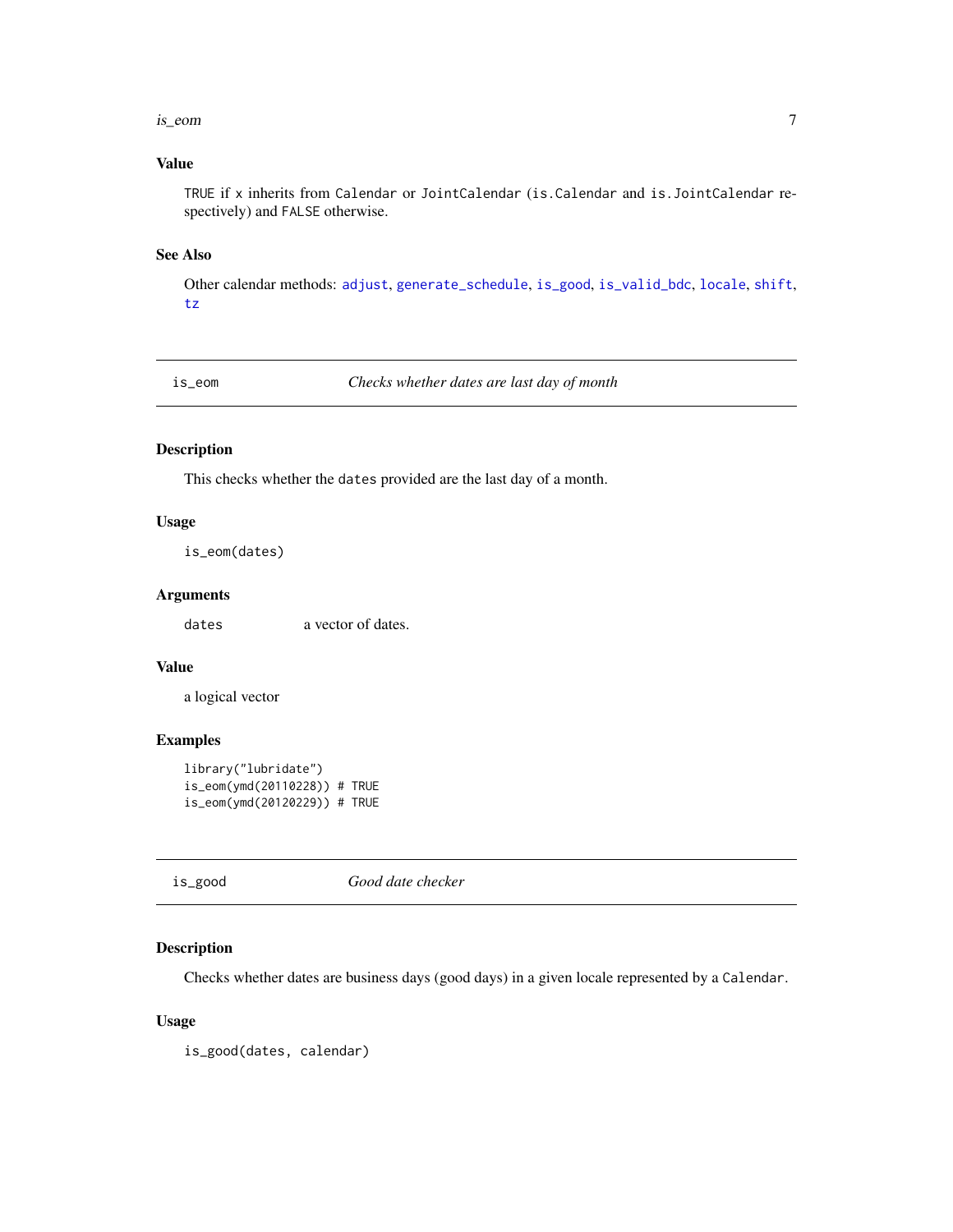#### <span id="page-6-0"></span>is\_eom 7

# Value

TRUE if x inherits from Calendar or JointCalendar (is.Calendar and is.JointCalendar respectively) and FALSE otherwise.

#### See Also

Other calendar methods: [adjust](#page-1-1), [generate\\_schedule](#page-4-1), [is\\_good](#page-6-1), [is\\_valid\\_bdc](#page-7-1), [locale](#page-10-1), [shift](#page-10-2), [tz](#page-11-1)

is\_eom *Checks whether dates are last day of month*

# Description

This checks whether the dates provided are the last day of a month.

# Usage

is\_eom(dates)

#### Arguments

dates a vector of dates.

# Value

a logical vector

# Examples

```
library("lubridate")
is_eom(ymd(20110228)) # TRUE
is_eom(ymd(20120229)) # TRUE
```
<span id="page-6-1"></span>is\_good *Good date checker*

# Description

Checks whether dates are business days (good days) in a given locale represented by a Calendar.

# Usage

is\_good(dates, calendar)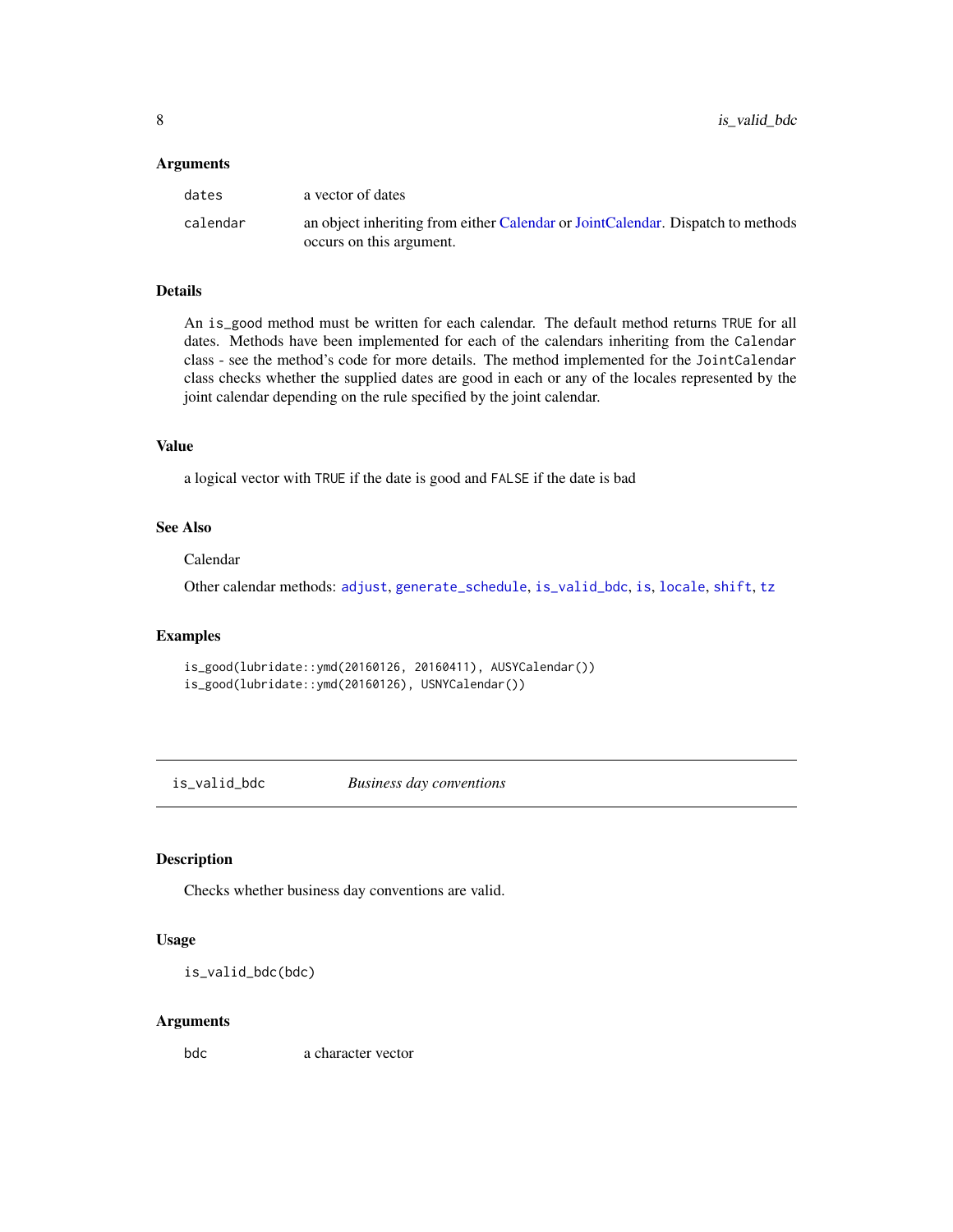#### <span id="page-7-0"></span>**Arguments**

| dates    | a vector of dates                                                               |
|----------|---------------------------------------------------------------------------------|
| calendar | an object inheriting from either Calendar or JointCalendar. Dispatch to methods |
|          | occurs on this argument.                                                        |

# Details

An is\_good method must be written for each calendar. The default method returns TRUE for all dates. Methods have been implemented for each of the calendars inheriting from the Calendar class - see the method's code for more details. The method implemented for the JointCalendar class checks whether the supplied dates are good in each or any of the locales represented by the joint calendar depending on the rule specified by the joint calendar.

# Value

a logical vector with TRUE if the date is good and FALSE if the date is bad

# See Also

#### Calendar

Other calendar methods: [adjust](#page-1-1), [generate\\_schedule](#page-4-1), [is\\_valid\\_bdc](#page-7-1), [is](#page-5-1), [locale](#page-10-1), [shift](#page-10-2), [tz](#page-11-1)

#### Examples

```
is_good(lubridate::ymd(20160126, 20160411), AUSYCalendar())
is_good(lubridate::ymd(20160126), USNYCalendar())
```
<span id="page-7-1"></span>is\_valid\_bdc *Business day conventions*

# Description

Checks whether business day conventions are valid.

#### Usage

is\_valid\_bdc(bdc)

#### Arguments

bdc a character vector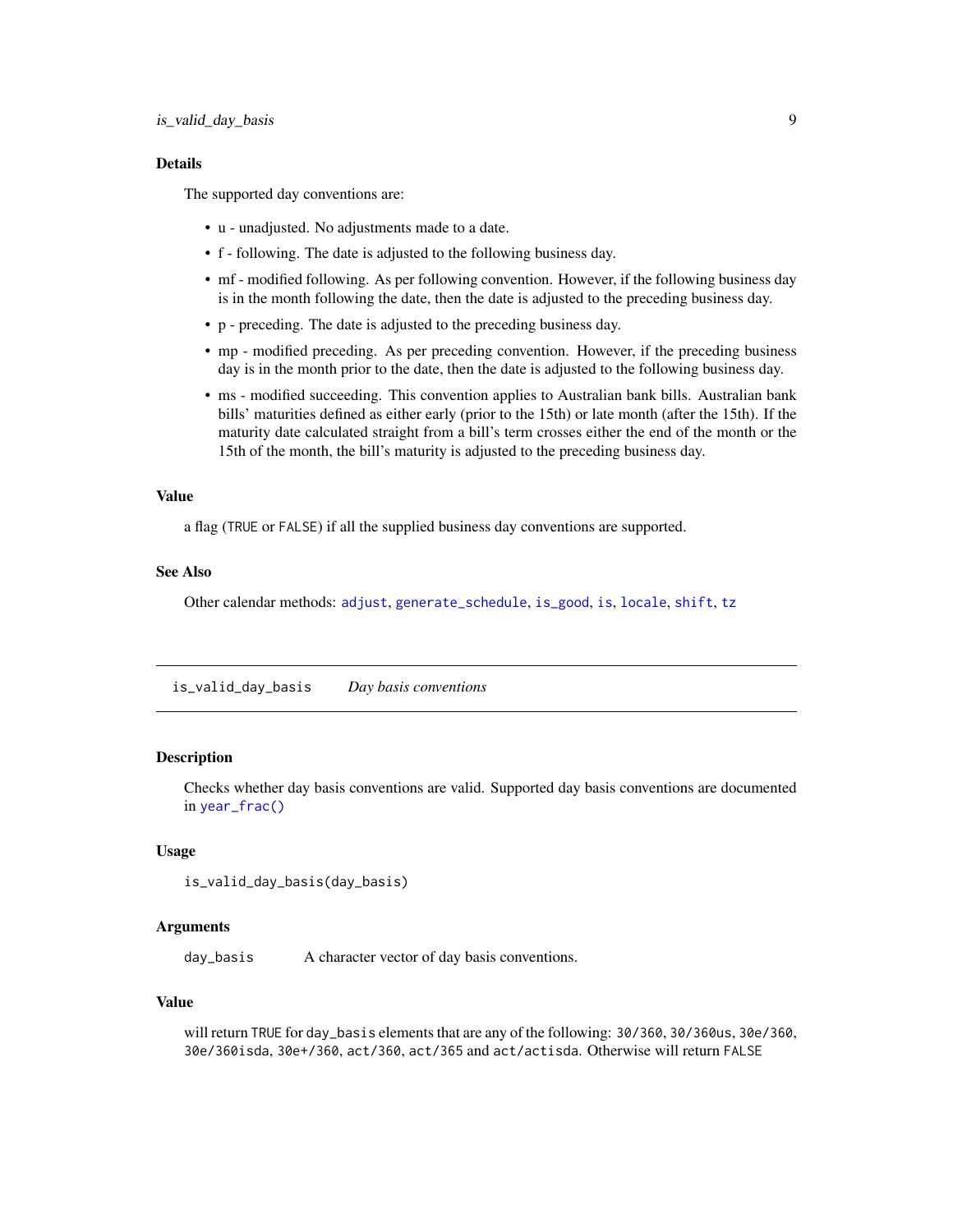#### <span id="page-8-0"></span>Details

The supported day conventions are:

- u unadjusted. No adjustments made to a date.
- f following. The date is adjusted to the following business day.
- mf modified following. As per following convention. However, if the following business day is in the month following the date, then the date is adjusted to the preceding business day.
- p preceding. The date is adjusted to the preceding business day.
- mp modified preceding. As per preceding convention. However, if the preceding business day is in the month prior to the date, then the date is adjusted to the following business day.
- ms modified succeeding. This convention applies to Australian bank bills. Australian bank bills' maturities defined as either early (prior to the 15th) or late month (after the 15th). If the maturity date calculated straight from a bill's term crosses either the end of the month or the 15th of the month, the bill's maturity is adjusted to the preceding business day.

#### Value

a flag (TRUE or FALSE) if all the supplied business day conventions are supported.

# See Also

Other calendar methods: [adjust](#page-1-1), [generate\\_schedule](#page-4-1), [is\\_good](#page-6-1), [is](#page-5-1), [locale](#page-10-1), [shift](#page-10-2), [tz](#page-11-1)

<span id="page-8-1"></span>is\_valid\_day\_basis *Day basis conventions*

# Description

Checks whether day basis conventions are valid. Supported day basis conventions are documented in [year\\_frac\(\)](#page-12-1)

#### Usage

```
is_valid_day_basis(day_basis)
```
#### Arguments

day\_basis A character vector of day basis conventions.

#### Value

will return TRUE for day\_basis elements that are any of the following: 30/360, 30/360us, 30e/360, 30e/360isda, 30e+/360, act/360, act/365 and act/actisda. Otherwise will return FALSE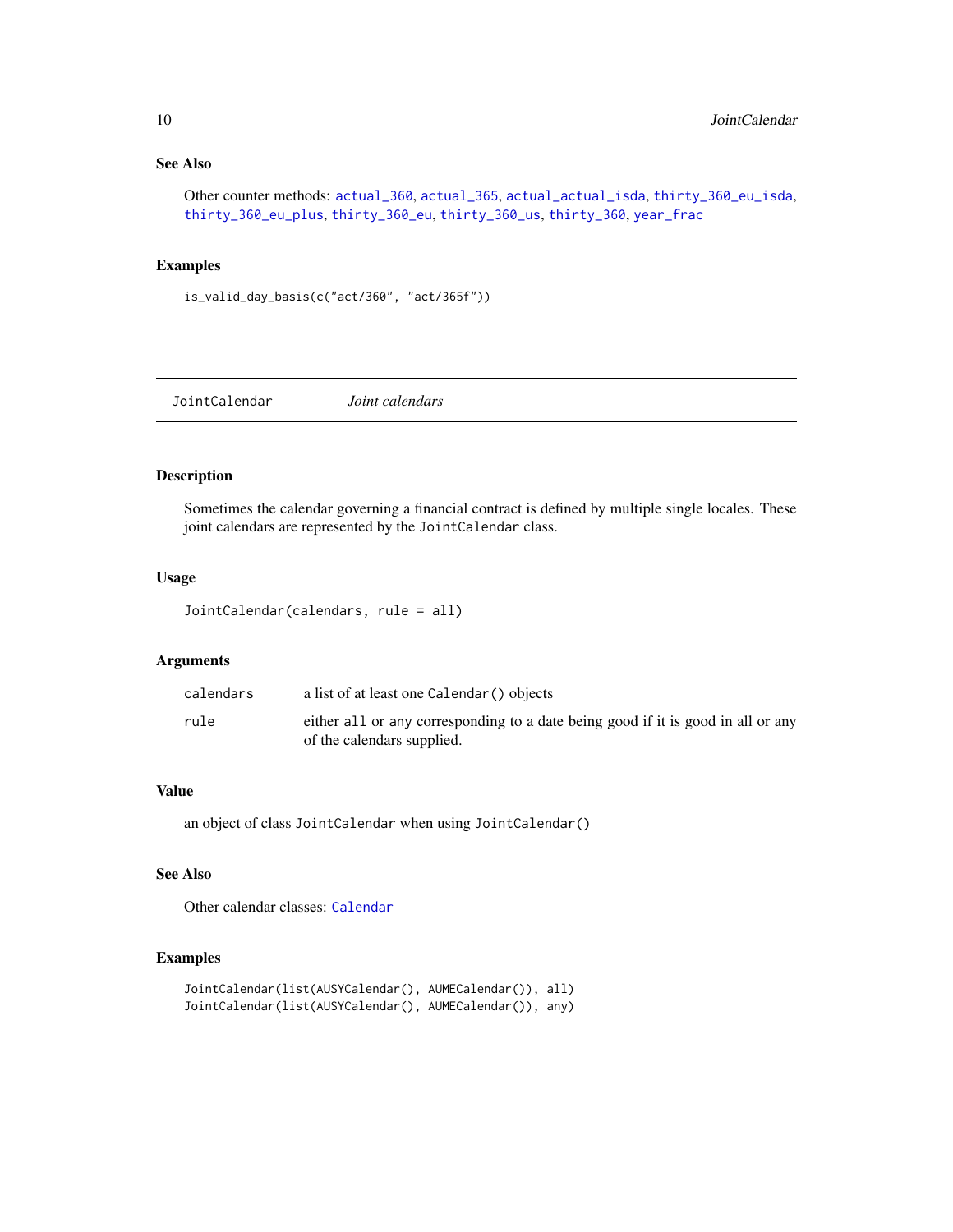# See Also

```
Other counter methods: actual_360, actual_365, actual_actual_isda, thirty_360_eu_isda,
thirty_360_eu_plus, thirty_360_eu, thirty_360_us, thirty_360, year_frac
```
# Examples

```
is_valid_day_basis(c("act/360", "act/365f"))
```
<span id="page-9-1"></span>JointCalendar *Joint calendars*

# Description

Sometimes the calendar governing a financial contract is defined by multiple single locales. These joint calendars are represented by the JointCalendar class.

#### Usage

```
JointCalendar(calendars, rule = all)
```
#### Arguments

| calendars | a list of at least one Calendar () objects                                                                     |
|-----------|----------------------------------------------------------------------------------------------------------------|
| rule      | either all or any corresponding to a date being good if it is good in all or any<br>of the calendars supplied. |

#### Value

an object of class JointCalendar when using JointCalendar()

#### See Also

Other calendar classes: [Calendar](#page-2-1)

# Examples

```
JointCalendar(list(AUSYCalendar(), AUMECalendar()), all)
JointCalendar(list(AUSYCalendar(), AUMECalendar()), any)
```
<span id="page-9-0"></span>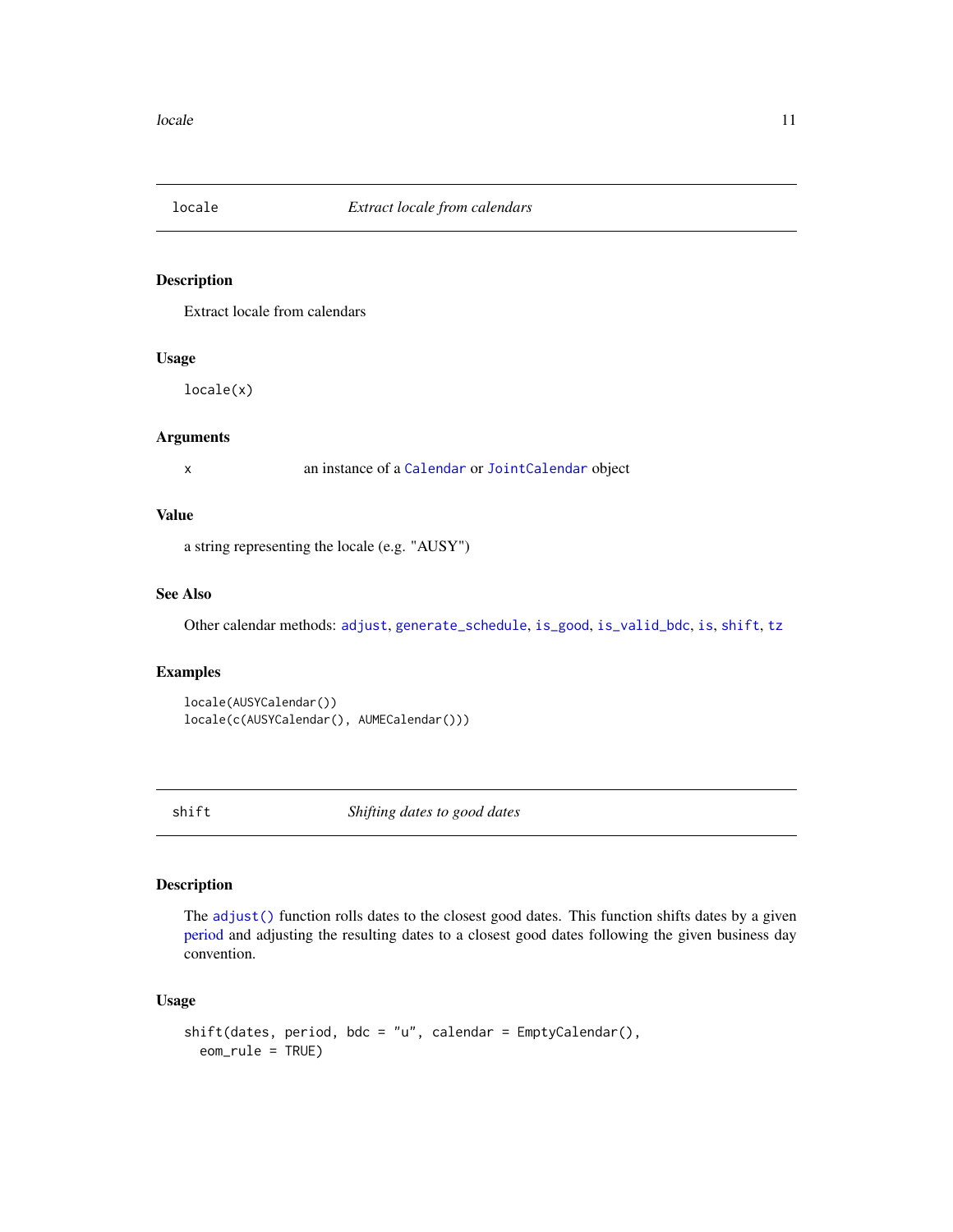<span id="page-10-1"></span><span id="page-10-0"></span>

#### Description

Extract locale from calendars

# Usage

locale(x)

#### Arguments

x an instance of a [Calendar](#page-2-1) or [JointCalendar](#page-9-1) object

# Value

a string representing the locale (e.g. "AUSY")

# See Also

Other calendar methods: [adjust](#page-1-1), [generate\\_schedule](#page-4-1), [is\\_good](#page-6-1), [is\\_valid\\_bdc](#page-7-1), [is](#page-5-1), [shift](#page-10-2), [tz](#page-11-1)

#### Examples

```
locale(AUSYCalendar())
locale(c(AUSYCalendar(), AUMECalendar()))
```
<span id="page-10-2"></span>shift *Shifting dates to good dates*

# Description

The [adjust\(\)](#page-1-1) function rolls dates to the closest good dates. This function shifts dates by a given [period](#page-0-0) and adjusting the resulting dates to a closest good dates following the given business day convention.

# Usage

```
shift(dates, period, bdc = "u", calendar = EmptyCalendar(),
 eom_rule = TRUE)
```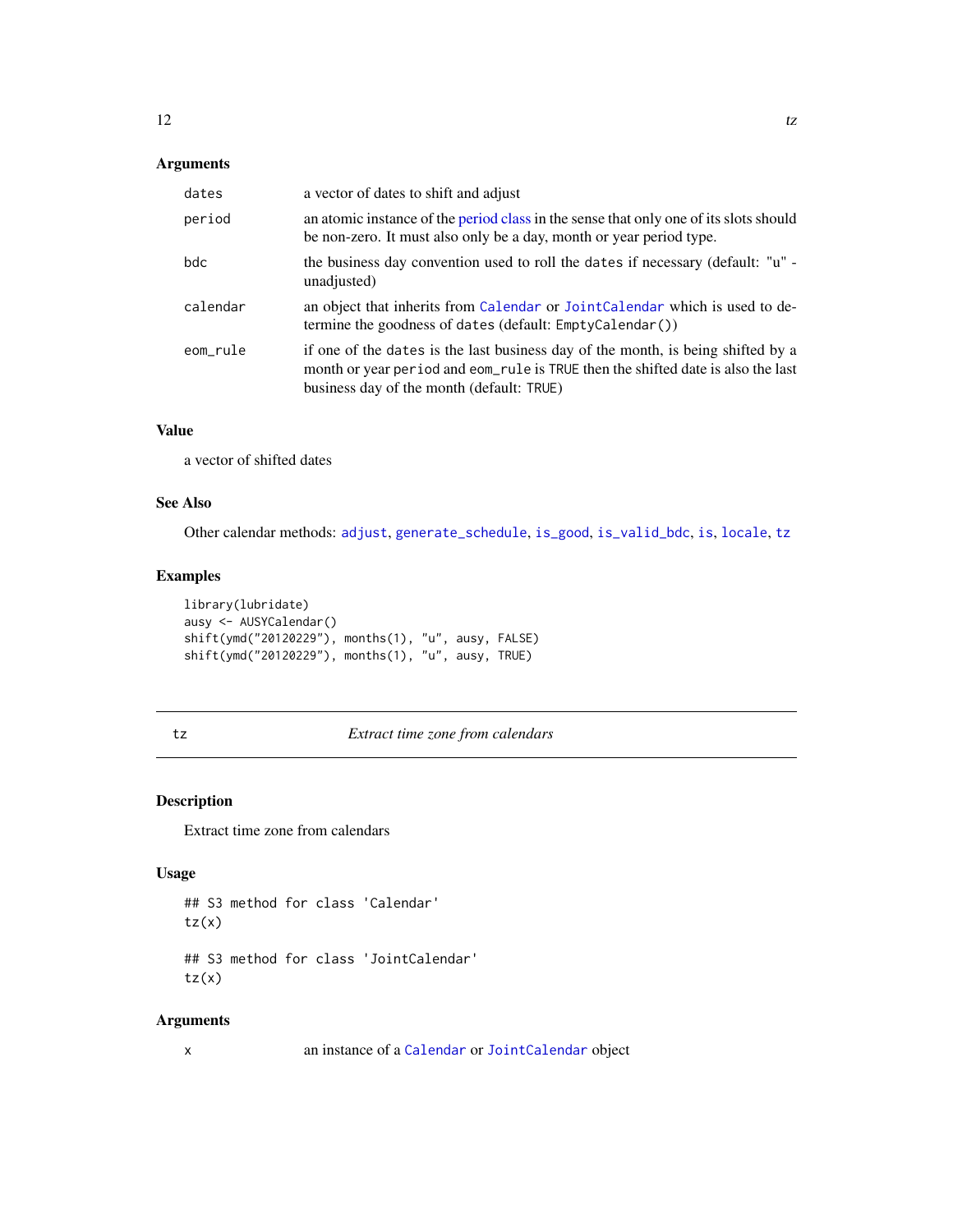# <span id="page-11-0"></span>Arguments

| dates    | a vector of dates to shift and adjust                                                                                                                                                                             |
|----------|-------------------------------------------------------------------------------------------------------------------------------------------------------------------------------------------------------------------|
| period   | an atomic instance of the period class in the sense that only one of its slots should<br>be non-zero. It must also only be a day, month or year period type.                                                      |
| bdc      | the business day convention used to roll the dates if necessary (default: "u" -<br>unadjusted)                                                                                                                    |
| calendar | an object that inherits from Calendar or JointCalendar which is used to de-<br>termine the goodness of dates (default: EmptyCalendar())                                                                           |
| eom_rule | if one of the dates is the last business day of the month, is being shifted by a<br>month or year period and eom_rule is TRUE then the shifted date is also the last<br>business day of the month (default: TRUE) |

# Value

a vector of shifted dates

# See Also

Other calendar methods: [adjust](#page-1-1), [generate\\_schedule](#page-4-1), [is\\_good](#page-6-1), [is\\_valid\\_bdc](#page-7-1), [is](#page-5-1), [locale](#page-10-1), [tz](#page-11-1)

# Examples

```
library(lubridate)
ausy <- AUSYCalendar()
shift(ymd("20120229"), months(1), "u", ausy, FALSE)
shift(ymd("20120229"), months(1), "u", ausy, TRUE)
```
<span id="page-11-1"></span>

#### tz *Extract time zone from calendars*

# Description

Extract time zone from calendars

# Usage

```
## S3 method for class 'Calendar'
tz(x)## S3 method for class 'JointCalendar'
```
 $tz(x)$ 

#### Arguments

```
x an instance of a Calendar or JointCalendar object
```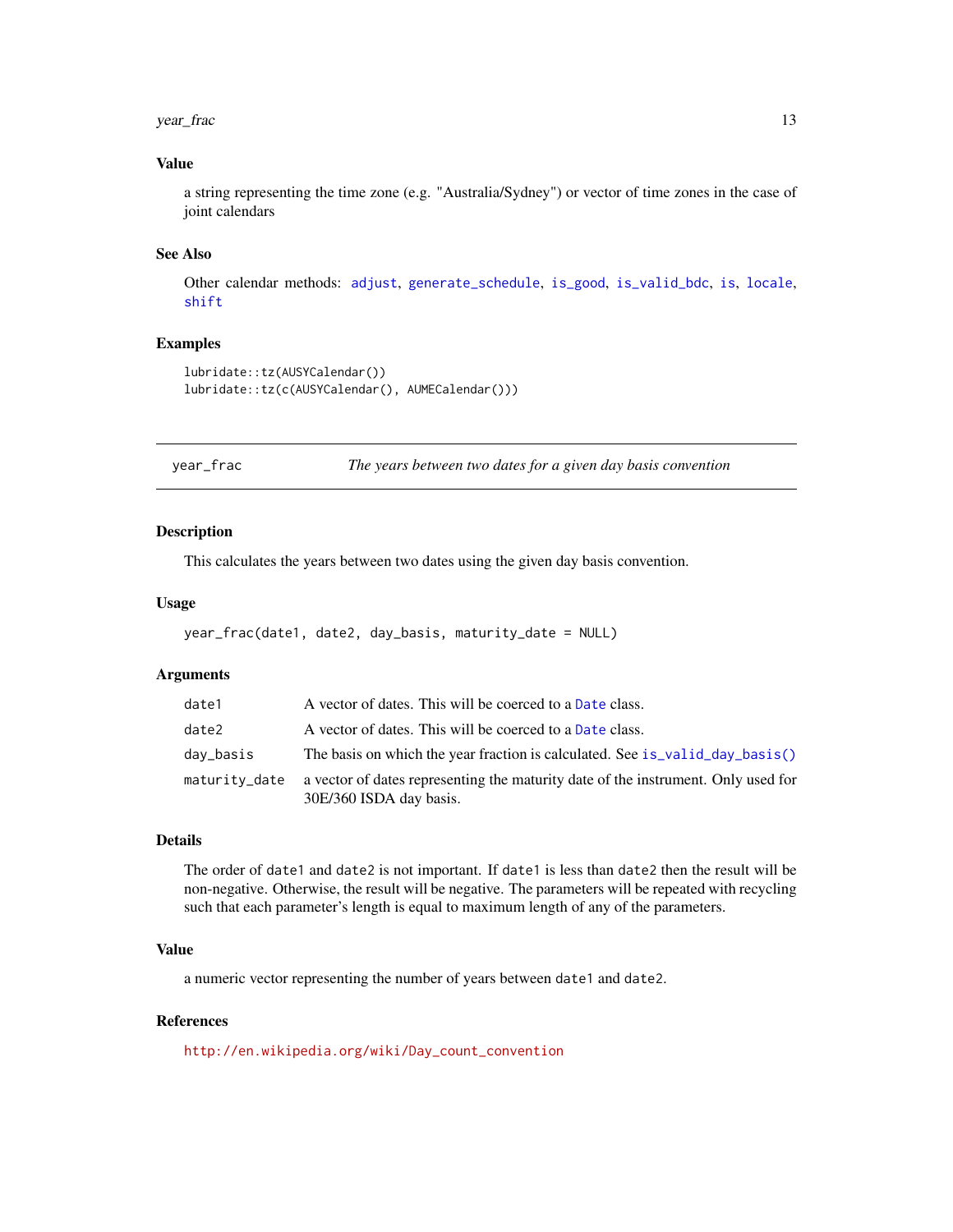#### <span id="page-12-0"></span>year\_frac 13

# Value

a string representing the time zone (e.g. "Australia/Sydney") or vector of time zones in the case of joint calendars

#### See Also

Other calendar methods: [adjust](#page-1-1), [generate\\_schedule](#page-4-1), [is\\_good](#page-6-1), [is\\_valid\\_bdc](#page-7-1), [is](#page-5-1), [locale](#page-10-1), [shift](#page-10-2)

# Examples

```
lubridate::tz(AUSYCalendar())
lubridate::tz(c(AUSYCalendar(), AUMECalendar()))
```
<span id="page-12-1"></span>year\_frac *The years between two dates for a given day basis convention*

#### Description

This calculates the years between two dates using the given day basis convention.

#### Usage

```
year_frac(date1, date2, day_basis, maturity_date = NULL)
```
# Arguments

| date1         | A vector of dates. This will be coerced to a Date class.                                                     |
|---------------|--------------------------------------------------------------------------------------------------------------|
| date2         | A vector of dates. This will be coerced to a Date class.                                                     |
| day_basis     | The basis on which the year fraction is calculated. See is_valid_day_basis()                                 |
| maturity_date | a vector of dates representing the maturity date of the instrument. Only used for<br>30E/360 ISDA day basis. |

#### Details

The order of date1 and date2 is not important. If date1 is less than date2 then the result will be non-negative. Otherwise, the result will be negative. The parameters will be repeated with recycling such that each parameter's length is equal to maximum length of any of the parameters.

# Value

a numeric vector representing the number of years between date1 and date2.

#### References

[http://en.wikipedia.org/wiki/Day\\_count\\_convention](http://en.wikipedia.org/wiki/Day_count_convention)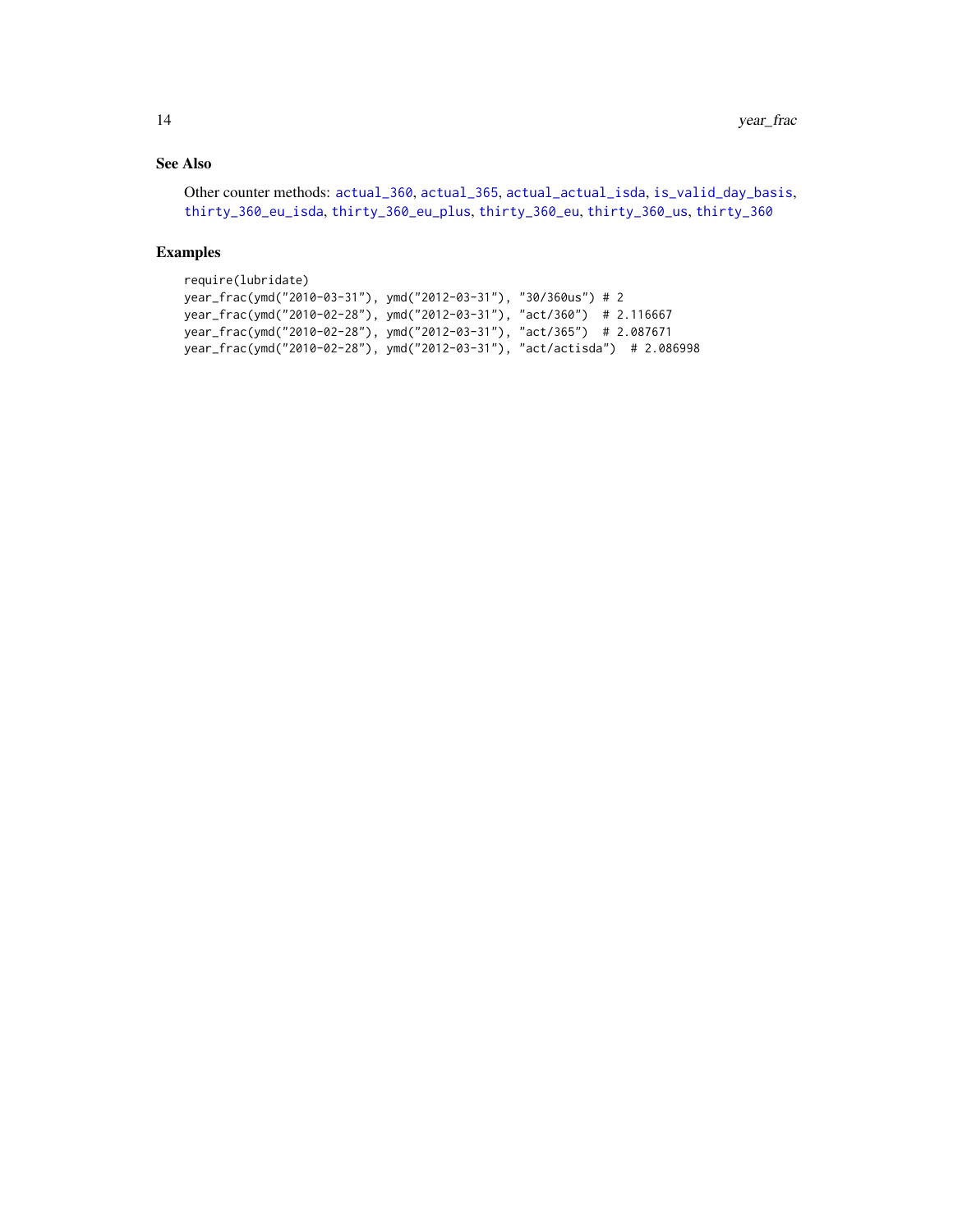# <span id="page-13-0"></span>See Also

```
Other counter methods: actual_360, actual_365, actual_actual_isda, is_valid_day_basis,
thirty_360_eu_isda, thirty_360_eu_plus, thirty_360_eu, thirty_360_us, thirty_360
```
# Examples

```
require(lubridate)
year_frac(ymd("2010-03-31"), ymd("2012-03-31"), "30/360us") # 2
year_frac(ymd("2010-02-28"), ymd("2012-03-31"), "act/360") # 2.116667
year_frac(ymd("2010-02-28"), ymd("2012-03-31"), "act/365") # 2.087671
year_frac(ymd("2010-02-28"), ymd("2012-03-31"), "act/actisda") # 2.086998
```